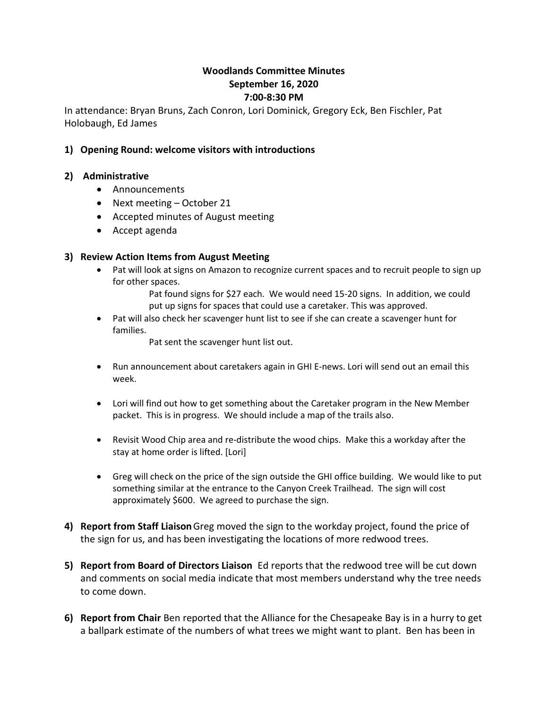# **Woodlands Committee Minutes September 16, 2020 7:00-8:30 PM**

In attendance: Bryan Bruns, Zach Conron, Lori Dominick, Gregory Eck, Ben Fischler, Pat Holobaugh, Ed James

### **1) Opening Round: welcome visitors with introductions**

#### **2) Administrative**

- Announcements
- Next meeting October 21
- Accepted minutes of August meeting
- Accept agenda

#### **3) Review Action Items from August Meeting**

- Pat will look at signs on Amazon to recognize current spaces and to recruit people to sign up for other spaces.
	- Pat found signs for \$27 each. We would need 15-20 signs. In addition, we could put up signs for spaces that could use a caretaker. This was approved.
- Pat will also check her scavenger hunt list to see if she can create a scavenger hunt for families.

Pat sent the scavenger hunt list out.

- Run announcement about caretakers again in GHI E-news. Lori will send out an email this week.
- Lori will find out how to get something about the Caretaker program in the New Member packet. This is in progress. We should include a map of the trails also.
- Revisit Wood Chip area and re-distribute the wood chips. Make this a workday after the stay at home order is lifted. [Lori]
- Greg will check on the price of the sign outside the GHI office building. We would like to put something similar at the entrance to the Canyon Creek Trailhead. The sign will cost approximately \$600. We agreed to purchase the sign.
- **4) Report from Staff Liaison**Greg moved the sign to the workday project, found the price of the sign for us, and has been investigating the locations of more redwood trees.
- **5) Report from Board of Directors Liaison** Ed reports that the redwood tree will be cut down and comments on social media indicate that most members understand why the tree needs to come down.
- **6) Report from Chair** Ben reported that the Alliance for the Chesapeake Bay is in a hurry to get a ballpark estimate of the numbers of what trees we might want to plant. Ben has been in